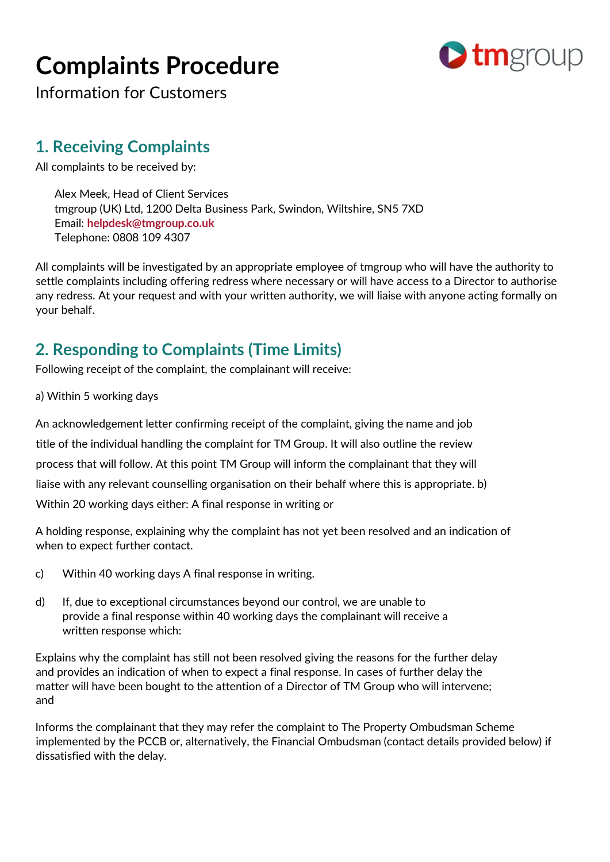# Complaints Procedure



Information for Customers

#### 1. Receiving Complaints

All complaints to be received by:

Alex Meek, Head of Client Services tmgroup (UK) Ltd, 1200 Delta Business Park, Swindon, Wiltshire, SN5 7XD Email: helpdesk@tmgroup.co.uk Telephone: 0808 109 4307

All complaints will be investigated by an appropriate employee of tmgroup who will have the authority to settle complaints including offering redress where necessary or will have access to a Director to authorise any redress. At your request and with your written authority, we will liaise with anyone acting formally on your behalf.

## 2. Responding to Complaints (Time Limits)

Following receipt of the complaint, the complainant will receive:

#### a) Within 5 working days

An acknowledgement letter confirming receipt of the complaint, giving the name and job title of the individual handling the complaint for TM Group. It will also outline the review process that will follow. At this point TM Group will inform the complainant that they will liaise with any relevant counselling organisation on their behalf where this is appropriate. b) Within 20 working days either: A final response in writing or

A holding response, explaining why the complaint has not yet been resolved and an indication of when to expect further contact.

- c) Within 40 working days A final response in writing.
- d) If, due to exceptional circumstances beyond our control, we are unable to provide a final response within 40 working days the complainant will receive a written response which:

Explains why the complaint has still not been resolved giving the reasons for the further delay and provides an indication of when to expect a final response. In cases of further delay the matter will have been bought to the attention of a Director of TM Group who will intervene; and

Informs the complainant that they may refer the complaint to The Property Ombudsman Scheme implemented by the PCCB or, alternatively, the Financial Ombudsman (contact details provided below) if dissatisfied with the delay.